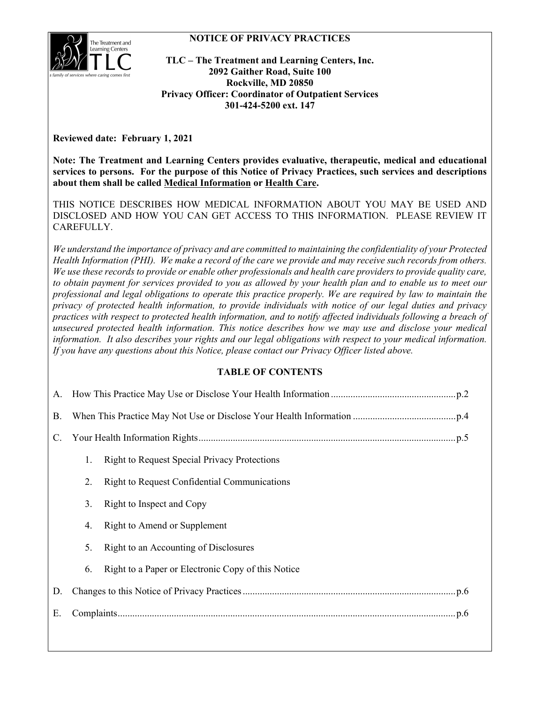### **NOTICE OF PRIVACY PRACTICES**



**TLC – The Treatment and Learning Centers, Inc. 2092 Gaither Road, Suite 100 Rockville, MD 20850 Privacy Officer: Coordinator of Outpatient Services 301-424-5200 ext. 147**

**Reviewed date: February 1, 2021**

**Note: The Treatment and Learning Centers provides evaluative, therapeutic, medical and educational services to persons. For the purpose of this Notice of Privacy Practices, such services and descriptions about them shall be called Medical Information or Health Care.**

THIS NOTICE DESCRIBES HOW MEDICAL INFORMATION ABOUT YOU MAY BE USED AND DISCLOSED AND HOW YOU CAN GET ACCESS TO THIS INFORMATION. PLEASE REVIEW IT CAREFULLY.

*We understand the importance of privacy and are committed to maintaining the confidentiality of your Protected Health Information (PHI). We make a record of the care we provide and may receive such records from others. We use these records to provide or enable other professionals and health care providers to provide quality care, to obtain payment for services provided to you as allowed by your health plan and to enable us to meet our professional and legal obligations to operate this practice properly. We are required by law to maintain the privacy of protected health information, to provide individuals with notice of our legal duties and privacy practices with respect to protected health information, and to notify affected individuals following a breach of unsecured protected health information. This notice describes how we may use and disclose your medical information. It also describes your rights and our legal obligations with respect to your medical information. If you have any questions about this Notice, please contact our Privacy Officer listed above.*

# **TABLE OF CONTENTS**

| <b>B.</b> |    |                                                     |
|-----------|----|-----------------------------------------------------|
| C.        |    |                                                     |
|           | 1. | <b>Right to Request Special Privacy Protections</b> |
|           | 2. | Right to Request Confidential Communications        |
|           | 3. | Right to Inspect and Copy                           |
|           | 4. | Right to Amend or Supplement                        |
|           | 5. | Right to an Accounting of Disclosures               |
|           | 6. | Right to a Paper or Electronic Copy of this Notice  |
| D.        |    |                                                     |
| Е.        |    |                                                     |
|           |    |                                                     |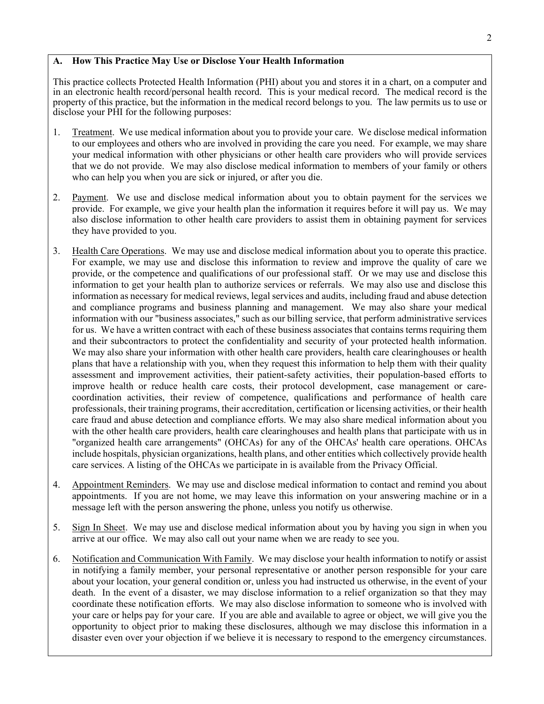### <span id="page-1-0"></span>**A. How This Practice May Use or Disclose Your Health Information**

This practice collects Protected Health Information (PHI) about you and stores it in a chart, on a computer and in an electronic health record/personal health record. This is your medical record. The medical record is the property of this practice, but the information in the medical record belongs to you. The law permits us to use or disclose your PHI for the following purposes:

- 1. Treatment. We use medical information about you to provide your care. We disclose medical information to our employees and others who are involved in providing the care you need. For example, we may share your medical information with other physicians or other health care providers who will provide services that we do not provide. We may also disclose medical information to members of your family or others who can help you when you are sick or injured, or after you die.
- 2. Payment. We use and disclose medical information about you to obtain payment for the services we provide. For example, we give your health plan the information it requires before it will pay us. We may also disclose information to other health care providers to assist them in obtaining payment for services they have provided to you.
- 3. Health Care Operations. We may use and disclose medical information about you to operate this practice. For example, we may use and disclose this information to review and improve the quality of care we provide, or the competence and qualifications of our professional staff. Or we may use and disclose this information to get your health plan to authorize services or referrals. We may also use and disclose this information as necessary for medical reviews, legal services and audits, including fraud and abuse detection and compliance programs and business planning and management. We may also share your medical information with our "business associates," such as our billing service, that perform administrative services for us. We have a written contract with each of these business associates that contains terms requiring them and their subcontractors to protect the confidentiality and security of your protected health information. We may also share your information with other health care providers, health care clearinghouses or health plans that have a relationship with you, when they request this information to help them with their quality assessment and improvement activities, their patient-safety activities, their population-based efforts to improve health or reduce health care costs, their protocol development, case management or carecoordination activities, their review of competence, qualifications and performance of health care professionals, their training programs, their accreditation, certification or licensing activities, or their health care fraud and abuse detection and compliance efforts. We may also share medical information about you with the other health care providers, health care clearinghouses and health plans that participate with us in "organized health care arrangements" (OHCAs) for any of the OHCAs' health care operations. OHCAs include hospitals, physician organizations, health plans, and other entities which collectively provide health care services. A listing of the OHCAs we participate in is available from the Privacy Official.
- 4. Appointment Reminders. We may use and disclose medical information to contact and remind you about appointments. If you are not home, we may leave this information on your answering machine or in a message left with the person answering the phone, unless you notify us otherwise.
- 5. Sign In Sheet. We may use and disclose medical information about you by having you sign in when you arrive at our office. We may also call out your name when we are ready to see you.
- 6. Notification and Communication With Family. We may disclose your health information to notify or assist in notifying a family member, your personal representative or another person responsible for your care about your location, your general condition or, unless you had instructed us otherwise, in the event of your death. In the event of a disaster, we may disclose information to a relief organization so that they may coordinate these notification efforts. We may also disclose information to someone who is involved with your care or helps pay for your care. If you are able and available to agree or object, we will give you the opportunity to object prior to making these disclosures, although we may disclose this information in a disaster even over your objection if we believe it is necessary to respond to the emergency circumstances.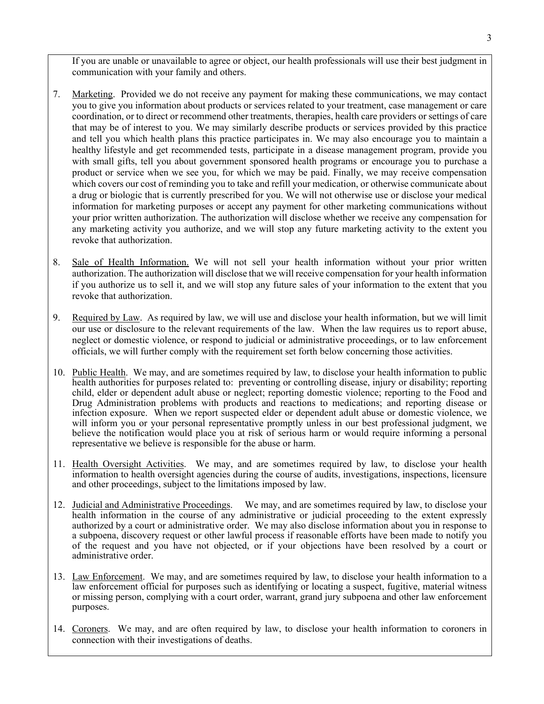If you are unable or unavailable to agree or object, our health professionals will use their best judgment in communication with your family and others.

- 7. Marketing. Provided we do not receive any payment for making these communications, we may contact you to give you information about products or services related to your treatment, case management or care coordination, or to direct or recommend other treatments, therapies, health care providers or settings of care that may be of interest to you. We may similarly describe products or services provided by this practice and tell you which health plans this practice participates in. We may also encourage you to maintain a healthy lifestyle and get recommended tests, participate in a disease management program, provide you with small gifts, tell you about government sponsored health programs or encourage you to purchase a product or service when we see you, for which we may be paid. Finally, we may receive compensation which covers our cost of reminding you to take and refill your medication, or otherwise communicate about a drug or biologic that is currently prescribed for you. We will not otherwise use or disclose your medical information for marketing purposes or accept any payment for other marketing communications without your prior written authorization. The authorization will disclose whether we receive any compensation for any marketing activity you authorize, and we will stop any future marketing activity to the extent you revoke that authorization.
- 8. Sale of Health Information. We will not sell your health information without your prior written authorization. The authorization will disclose that we will receive compensation for your health information if you authorize us to sell it, and we will stop any future sales of your information to the extent that you revoke that authorization.
- 9. Required by Law. As required by law, we will use and disclose your health information, but we will limit our use or disclosure to the relevant requirements of the law. When the law requires us to report abuse, neglect or domestic violence, or respond to judicial or administrative proceedings, or to law enforcement officials, we will further comply with the requirement set forth below concerning those activities.
- 10. Public Health. We may, and are sometimes required by law, to disclose your health information to public health authorities for purposes related to: preventing or controlling disease, injury or disability; reporting child, elder or dependent adult abuse or neglect; reporting domestic violence; reporting to the Food and Drug Administration problems with products and reactions to medications; and reporting disease or infection exposure. When we report suspected elder or dependent adult abuse or domestic violence, we will inform you or your personal representative promptly unless in our best professional judgment, we believe the notification would place you at risk of serious harm or would require informing a personal representative we believe is responsible for the abuse or harm.
- 11. Health Oversight Activities. We may, and are sometimes required by law, to disclose your health information to health oversight agencies during the course of audits, investigations, inspections, licensure and other proceedings, subject to the limitations imposed by law.
- 12. Judicial and Administrative Proceedings. We may, and are sometimes required by law, to disclose your health information in the course of any administrative or judicial proceeding to the extent expressly authorized by a court or administrative order. We may also disclose information about you in response to a subpoena, discovery request or other lawful process if reasonable efforts have been made to notify you of the request and you have not objected, or if your objections have been resolved by a court or administrative order.
- 13. Law Enforcement. We may, and are sometimes required by law, to disclose your health information to a law enforcement official for purposes such as identifying or locating a suspect, fugitive, material witness or missing person, complying with a court order, warrant, grand jury subpoena and other law enforcement purposes.
- 14. Coroners. We may, and are often required by law, to disclose your health information to coroners in connection with their investigations of deaths.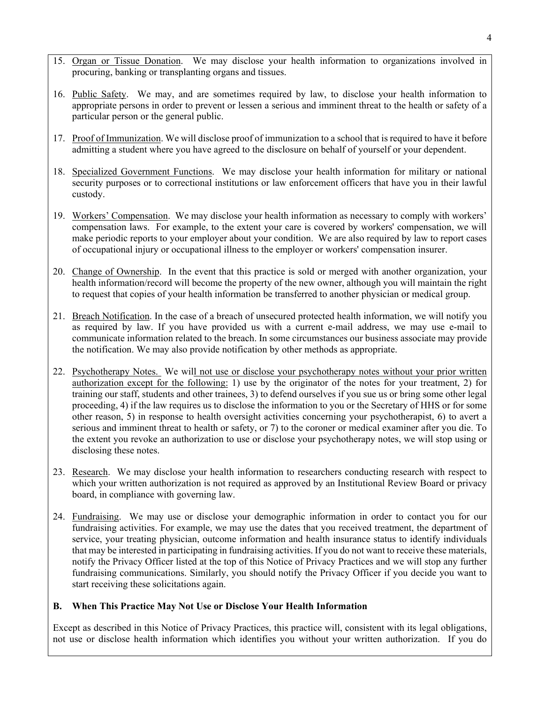- 15. Organ or Tissue Donation. We may disclose your health information to organizations involved in procuring, banking or transplanting organs and tissues.
- 16. Public Safety. We may, and are sometimes required by law, to disclose your health information to appropriate persons in order to prevent or lessen a serious and imminent threat to the health or safety of a particular person or the general public.
- 17. Proof of Immunization. We will disclose proof of immunization to a school that is required to have it before admitting a student where you have agreed to the disclosure on behalf of yourself or your dependent.
- 18. Specialized Government Functions. We may disclose your health information for military or national security purposes or to correctional institutions or law enforcement officers that have you in their lawful custody.
- 19. Workers' Compensation. We may disclose your health information as necessary to comply with workers' compensation laws. For example, to the extent your care is covered by workers' compensation, we will make periodic reports to your employer about your condition. We are also required by law to report cases of occupational injury or occupational illness to the employer or workers' compensation insurer.
- 20. Change of Ownership. In the event that this practice is sold or merged with another organization, your health information/record will become the property of the new owner, although you will maintain the right to request that copies of your health information be transferred to another physician or medical group.
- 21. Breach Notification. In the case of a breach of unsecured protected health information, we will notify you as required by law. If you have provided us with a current e-mail address, we may use e-mail to communicate information related to the breach. In some circumstances our business associate may provide the notification. We may also provide notification by other methods as appropriate.
- 22. Psychotherapy Notes. We will not use or disclose your psychotherapy notes without your prior written authorization except for the following: 1) use by the originator of the notes for your treatment, 2) for training our staff, students and other trainees, 3) to defend ourselves if you sue us or bring some other legal proceeding, 4) if the law requires us to disclose the information to you or the Secretary of HHS or for some other reason, 5) in response to health oversight activities concerning your psychotherapist, 6) to avert a serious and imminent threat to health or safety, or 7) to the coroner or medical examiner after you die. To the extent you revoke an authorization to use or disclose your psychotherapy notes, we will stop using or disclosing these notes.
- 23. Research. We may disclose your health information to researchers conducting research with respect to which your written authorization is not required as approved by an Institutional Review Board or privacy board, in compliance with governing law.
- 24. Fundraising. We may use or disclose your demographic information in order to contact you for our fundraising activities. For example, we may use the dates that you received treatment, the department of service, your treating physician, outcome information and health insurance status to identify individuals that may be interested in participating in fundraising activities. If you do not want to receive these materials, notify the Privacy Officer listed at the top of this Notice of Privacy Practices and we will stop any further fundraising communications. Similarly, you should notify the Privacy Officer if you decide you want to start receiving these solicitations again.

### <span id="page-3-0"></span>**B. When This Practice May Not Use or Disclose Your Health Information**

Except as described in this Notice of Privacy Practices, this practice will, consistent with its legal obligations, not use or disclose health information which identifies you without your written authorization. If you do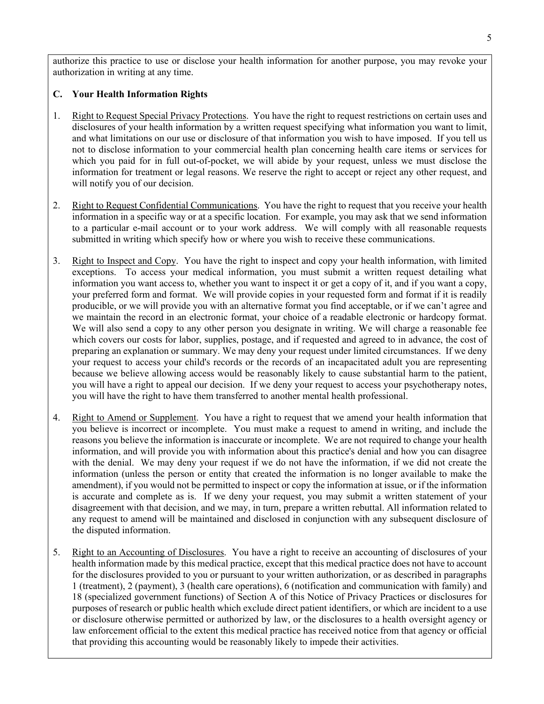authorize this practice to use or disclose your health information for another purpose, you may revoke your authorization in writing at any time.

#### <span id="page-4-0"></span>**C. Your Health Information Rights**

- 1. Right to Request Special Privacy Protections. You have the right to request restrictions on certain uses and disclosures of your health information by a written request specifying what information you want to limit, and what limitations on our use or disclosure of that information you wish to have imposed. If you tell us not to disclose information to your commercial health plan concerning health care items or services for which you paid for in full out-of-pocket, we will abide by your request, unless we must disclose the information for treatment or legal reasons. We reserve the right to accept or reject any other request, and will notify you of our decision.
- 2. Right to Request Confidential Communications. You have the right to request that you receive your health information in a specific way or at a specific location. For example, you may ask that we send information to a particular e-mail account or to your work address. We will comply with all reasonable requests submitted in writing which specify how or where you wish to receive these communications.
- 3. Right to Inspect and Copy. You have the right to inspect and copy your health information, with limited exceptions. To access your medical information, you must submit a written request detailing what information you want access to, whether you want to inspect it or get a copy of it, and if you want a copy, your preferred form and format. We will provide copies in your requested form and format if it is readily producible, or we will provide you with an alternative format you find acceptable, or if we can't agree and we maintain the record in an electronic format, your choice of a readable electronic or hardcopy format. We will also send a copy to any other person you designate in writing. We will charge a reasonable fee which covers our costs for labor, supplies, postage, and if requested and agreed to in advance, the cost of preparing an explanation or summary. We may deny your request under limited circumstances. If we deny your request to access your child's records or the records of an incapacitated adult you are representing because we believe allowing access would be reasonably likely to cause substantial harm to the patient, you will have a right to appeal our decision. If we deny your request to access your psychotherapy notes, you will have the right to have them transferred to another mental health professional.
- 4. Right to Amend or Supplement. You have a right to request that we amend your health information that you believe is incorrect or incomplete. You must make a request to amend in writing, and include the reasons you believe the information is inaccurate or incomplete. We are not required to change your health information, and will provide you with information about this practice's denial and how you can disagree with the denial. We may deny your request if we do not have the information, if we did not create the information (unless the person or entity that created the information is no longer available to make the amendment), if you would not be permitted to inspect or copy the information at issue, or if the information is accurate and complete as is. If we deny your request, you may submit a written statement of your disagreement with that decision, and we may, in turn, prepare a written rebuttal. All information related to any request to amend will be maintained and disclosed in conjunction with any subsequent disclosure of the disputed information.
- 5. Right to an Accounting of Disclosures. You have a right to receive an accounting of disclosures of your health information made by this medical practice, except that this medical practice does not have to account for the disclosures provided to you or pursuant to your written authorization, or as described in paragraphs 1 (treatment), 2 (payment), 3 (health care operations), 6 (notification and communication with family) and 18 (specialized government functions) of Section A of this Notice of Privacy Practices or disclosures for purposes of research or public health which exclude direct patient identifiers, or which are incident to a use or disclosure otherwise permitted or authorized by law, or the disclosures to a health oversight agency or law enforcement official to the extent this medical practice has received notice from that agency or official that providing this accounting would be reasonably likely to impede their activities.